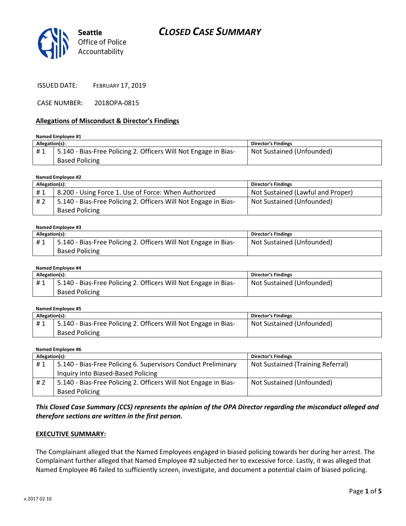



ISSUED DATE: FEBRUARY 17, 2019

CASE NUMBER: 2018OPA-0815

### Allegations of Misconduct & Director's Findings

| Named Employee #1 |                                                                 |                            |  |
|-------------------|-----------------------------------------------------------------|----------------------------|--|
| Allegation(s):    |                                                                 | <b>Director's Findings</b> |  |
| #1                | 5.140 - Bias-Free Policing 2. Officers Will Not Engage in Bias- | Not Sustained (Unfounded)  |  |
|                   | <b>Based Policing</b>                                           |                            |  |

### Named Employee #2

| Allegation(s): |                                                                 | <b>Director's Findings</b>        |
|----------------|-----------------------------------------------------------------|-----------------------------------|
| #1             | 8.200 - Using Force 1. Use of Force: When Authorized            | Not Sustained (Lawful and Proper) |
| #2             | 5.140 - Bias-Free Policing 2. Officers Will Not Engage in Bias- | Not Sustained (Unfounded)         |
|                | <b>Based Policing</b>                                           |                                   |

#### Named Employee #3

| Allegation(s): |                                                                                          | <b>Director's Findings</b> |
|----------------|------------------------------------------------------------------------------------------|----------------------------|
| #1             | 5.140 - Bias-Free Policing 2. Officers Will Not Engage in Bias-<br><b>Based Policing</b> | Not Sustained (Unfounded)  |
|                |                                                                                          |                            |

#### Named Employee #4

| Allegation(s):  |                                                                 | <b>Director's Findings</b> |
|-----------------|-----------------------------------------------------------------|----------------------------|
| <sup>"</sup> #1 | 5.140 - Bias-Free Policing 2. Officers Will Not Engage in Bias- | Not Sustained (Unfounded)  |
|                 | <b>Based Policing</b>                                           |                            |

| Named Employee #5 |                                                                 |                            |  |
|-------------------|-----------------------------------------------------------------|----------------------------|--|
| Allegation(s):    |                                                                 | <b>Director's Findings</b> |  |
| #1                | 5.140 - Bias-Free Policing 2. Officers Will Not Engage in Bias- | Not Sustained (Unfounded)  |  |
|                   | <b>Based Policing</b>                                           |                            |  |

#### Named Employee #6

| Allegation(s): |                                                                 | <b>Director's Findings</b>        |
|----------------|-----------------------------------------------------------------|-----------------------------------|
| #1             | 5.140 - Bias-Free Policing 6. Supervisors Conduct Preliminary   | Not Sustained (Training Referral) |
|                | Inquiry into Biased-Based Policing                              |                                   |
| #2             | 5.140 - Bias-Free Policing 2. Officers Will Not Engage in Bias- | Not Sustained (Unfounded)         |
|                | <b>Based Policing</b>                                           |                                   |

### This Closed Case Summary (CCS) represents the opinion of the OPA Director regarding the misconduct alleged and therefore sections are written in the first person.

### EXECUTIVE SUMMARY:

The Complainant alleged that the Named Employees engaged in biased policing towards her during her arrest. The Complainant further alleged that Named Employee #2 subjected her to excessive force. Lastly, it was alleged that Named Employee #6 failed to sufficiently screen, investigate, and document a potential claim of biased policing.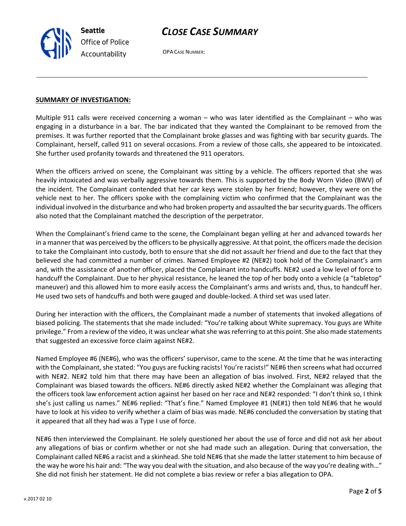

Seattle Office of Police Accountability

OPA CASE NUMBER:

### SUMMARY OF INVESTIGATION:

Multiple 911 calls were received concerning a woman – who was later identified as the Complainant – who was engaging in a disturbance in a bar. The bar indicated that they wanted the Complainant to be removed from the premises. It was further reported that the Complainant broke glasses and was fighting with bar security guards. The Complainant, herself, called 911 on several occasions. From a review of those calls, she appeared to be intoxicated. She further used profanity towards and threatened the 911 operators.

When the officers arrived on scene, the Complainant was sitting by a vehicle. The officers reported that she was heavily intoxicated and was verbally aggressive towards them. This is supported by the Body Worn Video (BWV) of the incident. The Complainant contended that her car keys were stolen by her friend; however, they were on the vehicle next to her. The officers spoke with the complaining victim who confirmed that the Complainant was the individual involved in the disturbance and who had broken property and assaulted the bar security guards. The officers also noted that the Complainant matched the description of the perpetrator.

When the Complainant's friend came to the scene, the Complainant began yelling at her and advanced towards her in a manner that was perceived by the officers to be physically aggressive. At that point, the officers made the decision to take the Complainant into custody, both to ensure that she did not assault her friend and due to the fact that they believed she had committed a number of crimes. Named Employee #2 (NE#2) took hold of the Complainant's arm and, with the assistance of another officer, placed the Complainant into handcuffs. NE#2 used a low level of force to handcuff the Complainant. Due to her physical resistance, he leaned the top of her body onto a vehicle (a "tabletop" maneuver) and this allowed him to more easily access the Complainant's arms and wrists and, thus, to handcuff her. He used two sets of handcuffs and both were gauged and double-locked. A third set was used later.

During her interaction with the officers, the Complainant made a number of statements that invoked allegations of biased policing. The statements that she made included: "You're talking about White supremacy. You guys are White privilege." From a review of the video, it was unclear what she was referring to at this point. She also made statements that suggested an excessive force claim against NE#2.

Named Employee #6 (NE#6), who was the officers' supervisor, came to the scene. At the time that he was interacting with the Complainant, she stated: "You guys are fucking racists! You're racists!" NE#6 then screens what had occurred with NE#2. NE#2 told him that there may have been an allegation of bias involved. First, NE#2 relayed that the Complainant was biased towards the officers. NE#6 directly asked NE#2 whether the Complainant was alleging that the officers took law enforcement action against her based on her race and NE#2 responded: "I don't think so, I think she's just calling us names." NE#6 replied: "That's fine." Named Employee #1 (NE#1) then told NE#6 that he would have to look at his video to verify whether a claim of bias was made. NE#6 concluded the conversation by stating that it appeared that all they had was a Type I use of force.

NE#6 then interviewed the Complainant. He solely questioned her about the use of force and did not ask her about any allegations of bias or confirm whether or not she had made such an allegation. During that conversation, the Complainant called NE#6 a racist and a skinhead. She told NE#6 that she made the latter statement to him because of the way he wore his hair and: "The way you deal with the situation, and also because of the way you're dealing with…" She did not finish her statement. He did not complete a bias review or refer a bias allegation to OPA.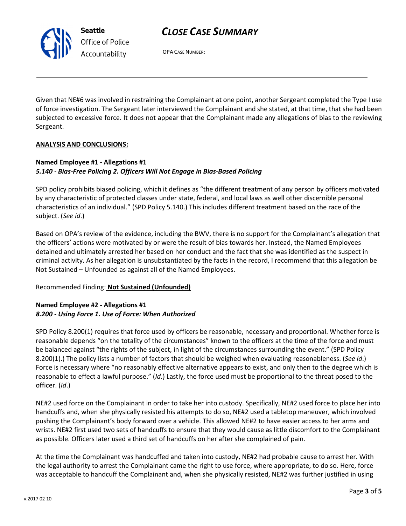# CLOSE CASE SUMMARY



OPA CASE NUMBER:

Given that NE#6 was involved in restraining the Complainant at one point, another Sergeant completed the Type I use of force investigation. The Sergeant later interviewed the Complainant and she stated, at that time, that she had been subjected to excessive force. It does not appear that the Complainant made any allegations of bias to the reviewing Sergeant.

## ANALYSIS AND CONCLUSIONS:

# Named Employee #1 - Allegations #1 5.140 - Bias-Free Policing 2. Officers Will Not Engage in Bias-Based Policing

SPD policy prohibits biased policing, which it defines as "the different treatment of any person by officers motivated by any characteristic of protected classes under state, federal, and local laws as well other discernible personal characteristics of an individual." (SPD Policy 5.140.) This includes different treatment based on the race of the subject. (See id.)

Based on OPA's review of the evidence, including the BWV, there is no support for the Complainant's allegation that the officers' actions were motivated by or were the result of bias towards her. Instead, the Named Employees detained and ultimately arrested her based on her conduct and the fact that she was identified as the suspect in criminal activity. As her allegation is unsubstantiated by the facts in the record, I recommend that this allegation be Not Sustained – Unfounded as against all of the Named Employees.

# Recommended Finding: Not Sustained (Unfounded)

# Named Employee #2 - Allegations #1 8.200 - Using Force 1. Use of Force: When Authorized

SPD Policy 8.200(1) requires that force used by officers be reasonable, necessary and proportional. Whether force is reasonable depends "on the totality of the circumstances" known to the officers at the time of the force and must be balanced against "the rights of the subject, in light of the circumstances surrounding the event." (SPD Policy 8.200(1).) The policy lists a number of factors that should be weighed when evaluating reasonableness. (See id.) Force is necessary where "no reasonably effective alternative appears to exist, and only then to the degree which is reasonable to effect a lawful purpose." (Id.) Lastly, the force used must be proportional to the threat posed to the officer. (Id.)

NE#2 used force on the Complainant in order to take her into custody. Specifically, NE#2 used force to place her into handcuffs and, when she physically resisted his attempts to do so, NE#2 used a tabletop maneuver, which involved pushing the Complainant's body forward over a vehicle. This allowed NE#2 to have easier access to her arms and wrists. NE#2 first used two sets of handcuffs to ensure that they would cause as little discomfort to the Complainant as possible. Officers later used a third set of handcuffs on her after she complained of pain.

At the time the Complainant was handcuffed and taken into custody, NE#2 had probable cause to arrest her. With the legal authority to arrest the Complainant came the right to use force, where appropriate, to do so. Here, force was acceptable to handcuff the Complainant and, when she physically resisted, NE#2 was further justified in using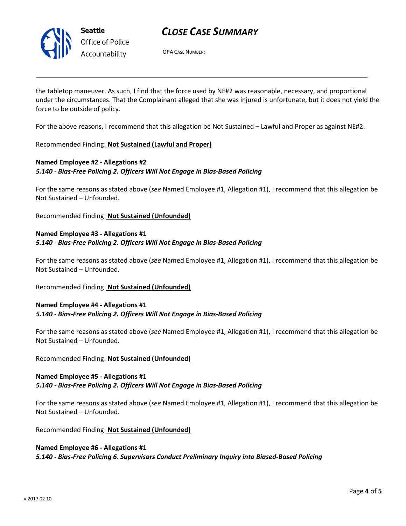

Seattle Office of Police Accountability

# CLOSE CASE SUMMARY

OPA CASE NUMBER:

the tabletop maneuver. As such, I find that the force used by NE#2 was reasonable, necessary, and proportional under the circumstances. That the Complainant alleged that she was injured is unfortunate, but it does not yield the force to be outside of policy.

For the above reasons, I recommend that this allegation be Not Sustained – Lawful and Proper as against NE#2.

## Recommended Finding: Not Sustained (Lawful and Proper)

# Named Employee #2 - Allegations #2 5.140 - Bias-Free Policing 2. Officers Will Not Engage in Bias-Based Policing

For the same reasons as stated above (see Named Employee #1, Allegation #1), I recommend that this allegation be Not Sustained – Unfounded.

Recommended Finding: Not Sustained (Unfounded)

# Named Employee #3 - Allegations #1 5.140 - Bias-Free Policing 2. Officers Will Not Engage in Bias-Based Policing

For the same reasons as stated above (see Named Employee #1, Allegation #1), I recommend that this allegation be Not Sustained – Unfounded.

Recommended Finding: Not Sustained (Unfounded)

## Named Employee #4 - Allegations #1 5.140 - Bias-Free Policing 2. Officers Will Not Engage in Bias-Based Policing

For the same reasons as stated above (see Named Employee #1, Allegation #1), I recommend that this allegation be Not Sustained – Unfounded.

### Recommended Finding: Not Sustained (Unfounded)

# Named Employee #5 - Allegations #1 5.140 - Bias-Free Policing 2. Officers Will Not Engage in Bias-Based Policing

For the same reasons as stated above (see Named Employee #1, Allegation #1), I recommend that this allegation be Not Sustained – Unfounded.

Recommended Finding: Not Sustained (Unfounded)

# Named Employee #6 - Allegations #1 5.140 - Bias-Free Policing 6. Supervisors Conduct Preliminary Inquiry into Biased-Based Policing